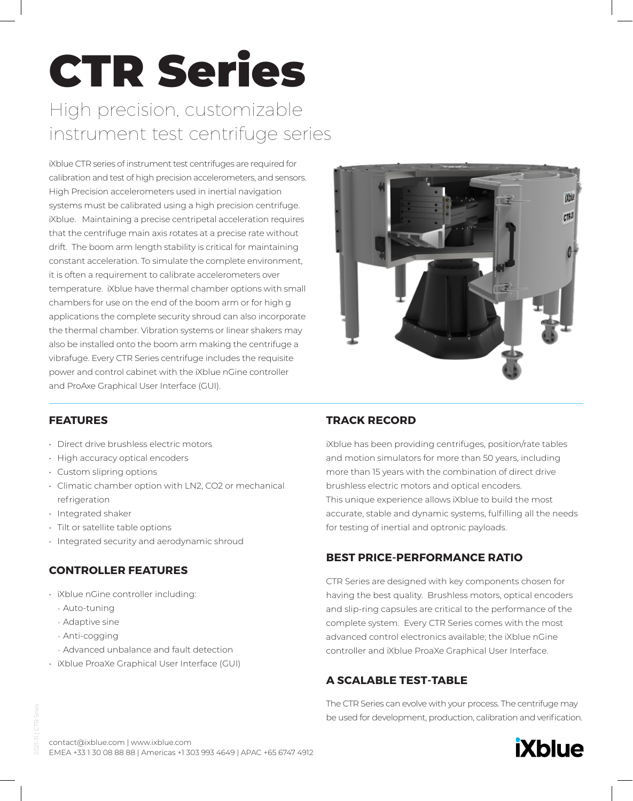# CTR Series

## High precision, customizable instrument test centrifuge series

iXblue CTR series of instrument test centrifuges are required for calibration and test of high precision accelerometers, and sensors. High Precision accelerometers used in inertial navigation systems must be calibrated using a high precision centrifuge. iXblue. Maintaining a precise centripetal acceleration requires that the centrifuge main axis rotates at a precise rate without drift. The boom arm length stability is critical for maintaining constant acceleration. To simulate the complete environment, it is often a requirement to calibrate accelerometers over temperature. iXblue have thermal chamber options with small chambers for use on the end of the boom arm or for high g applications the complete security shroud can also incorporate the thermal chamber. Vibration systems or linear shakers may also be installed onto the boom arm making the centrifuge a vibrafuge. Every CTR Series centrifuge includes the requisite power and control cabinet with the iXblue nGine controller and ProAxe Graphical User Interface (GUI).



#### **FEATURES**

- Direct drive brushless electric motors
- High accuracy optical encoders
- Custom slipring options
- Climatic chamber option with LN2, CO2 or mechanical refrigeration
- Integrated shaker
- Tilt or satellite table options
- Integrated security and aerodynamic shroud

#### **CONTROLLER FEATURES**

- iXblue nGine controller including:
	- Auto-tuning
	- Adaptive sine
	- · Anti-cogging
- ˚ Advanced unbalance and fault detection
- iXblue ProaXe Graphical User Interface (GUI)

#### **TRACK RECORD**

iXblue has been providing centrifuges, position/rate tables and motion simulators for more than 50 years, including more than 15 years with the combination of direct drive brushless electric motors and optical encoders. This unique experience allows iXblue to build the most accurate, stable and dynamic systems, fulfilling all the needs for testing of inertial and optronic payloads.

#### **BEST PRICE-PERFORMANCE RATIO**

CTR Series are designed with key components chosen for having the best quality. Brushless motors, optical encoders and slip-ring capsules are critical to the performance of the complete system. Every CTR Series comes with the most advanced control electronics available; the iXblue nGine controller and iXblue ProaXe Graphical User Interface.

### **A SCALABLE TEST-TABLE**

The CTR Series can evolve with your process. The centrifuge may be used for development, production, calibration and verification.

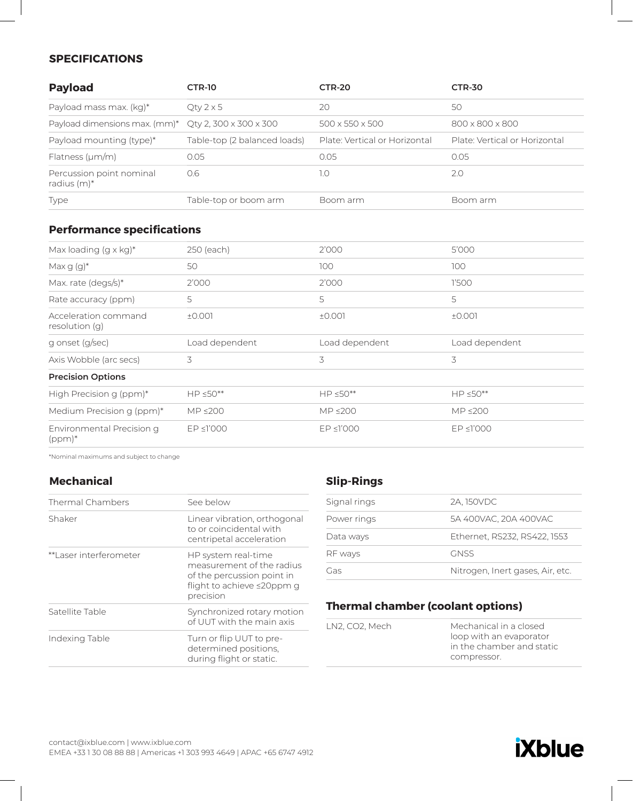#### **SPECIFICATIONS**

| <b>Payload</b>                                                 | CTR-10                       | CTR-20                        | <b>CTR-30</b>                 |
|----------------------------------------------------------------|------------------------------|-------------------------------|-------------------------------|
| Payload mass max. (kg)*                                        | $Q$ ty 2 $\times$ 5          | 20                            | 50                            |
| Payload dimensions max. $\text{(mm)}^*$ Qty 2, 300 x 300 x 300 |                              | 500 x 550 x 500               | 800 x 800 x 800               |
| Payload mounting (type)*                                       | Table-top (2 balanced loads) | Plate: Vertical or Horizontal | Plate: Vertical or Horizontal |
| Flatness $(\mu m/m)$                                           | 0.05                         | 0.05                          | 0.05                          |
| Percussion point nominal<br>radius $(m)^*$                     | 0.6                          | 1.0                           | 2.0                           |
| Type                                                           | Table-top or boom arm        | Boom arm                      | Boom arm                      |
|                                                                |                              |                               |                               |

#### **Performance specifications**

| Max loading $(g \times kg)^*$          | 250 (each)      | 2'000           | 5'000                      |
|----------------------------------------|-----------------|-----------------|----------------------------|
| Max $q(q)^*$                           | 50              | 100             | 100                        |
| Max. rate (degs/s)*                    | 2'000           | 2'000           | 1'500                      |
| Rate accuracy (ppm)                    | 5               | 5               | 5                          |
| Acceleration command<br>resolution (q) | ±0.001          | ±0.001          | ±0.001                     |
| g onset (g/sec)                        | Load dependent  | Load dependent  | Load dependent             |
| Axis Wobble (arc secs)                 | 3               | 3               | 3                          |
| <b>Precision Options</b>               |                 |                 |                            |
| High Precision g (ppm)*                | $HP \le 50**$   | $HP < 50**$     | $HP < 50**$                |
| Medium Precision g (ppm)*              | $MP \le 200$    | $MP \leq 200$   | $MP \le 200$               |
| Environmental Precision g<br>$(ppm)^*$ | $EP \leq$ 1'000 | $EP \leq$ 1'000 | $EP \leq$ <sup>7</sup> 000 |

\*Nominal maximums and subject to change

#### **Mechanical Slip-Rings**

| Thermal Chambers       | See below                                                                                                                 |
|------------------------|---------------------------------------------------------------------------------------------------------------------------|
| Shaker                 | Linear vibration, orthogonal<br>to or coincidental with<br>centripetal acceleration                                       |
| **Laser interferometer | HP system real-time<br>measurement of the radius<br>of the percussion point in<br>flight to achieve ≤20ppm g<br>precision |
| Satellite Table        | Synchronized rotary motion<br>of UUT with the main axis                                                                   |
| Indexing Table         | Turn or flip UUT to pre-<br>determined positions,<br>during flight or static.                                             |

| Signal rings | 2A. 150VDC                       |
|--------------|----------------------------------|
| Power rings  | 5A 400VAC, 20A 400VAC            |
| Data ways    | Ethernet, RS232, RS422, 1553     |
| RF ways      | GNSS                             |
| Gas          | Nitrogen, Inert gases, Air, etc. |

#### **Thermal chamber (coolant options)**

| Mechanical in a closed    |
|---------------------------|
| loop with an evaporator   |
| in the chamber and static |
| compressor.               |
|                           |